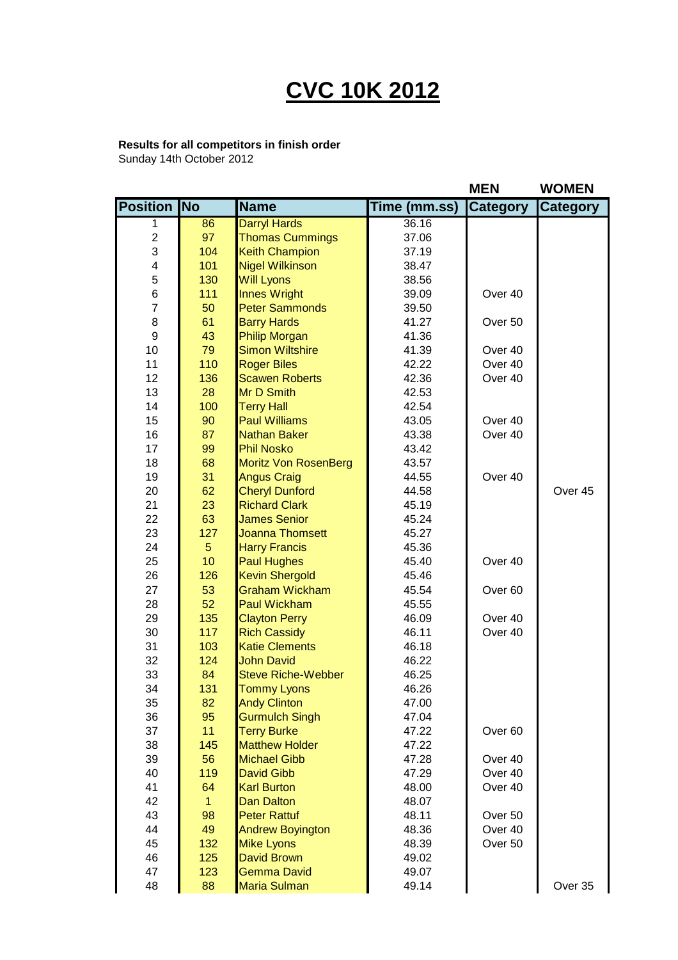## **CVC 10K 2012**

## **Results for all competitors in finish order**

Sunday 14th October 2012

|                         |              |                             |                       | <b>MEN</b>         | <b>WOMEN</b>    |
|-------------------------|--------------|-----------------------------|-----------------------|--------------------|-----------------|
| <b>Position No</b>      |              | <b>Name</b>                 | Time (mm.ss) Category |                    | <b>Category</b> |
| 1                       | 86           | <b>Darryl Hards</b>         | 36.16                 |                    |                 |
| $\overline{c}$          | 97           | <b>Thomas Cummings</b>      | 37.06                 |                    |                 |
| 3                       | 104          | <b>Keith Champion</b>       | 37.19                 |                    |                 |
| $\overline{\mathbf{4}}$ | 101          | <b>Nigel Wilkinson</b>      | 38.47                 |                    |                 |
| 5                       | 130          | <b>Will Lyons</b>           | 38.56                 |                    |                 |
| 6                       | 111          | <b>Innes Wright</b>         | 39.09                 | Over 40            |                 |
| $\overline{7}$          | 50           | <b>Peter Sammonds</b>       | 39.50                 |                    |                 |
| 8                       | 61           | <b>Barry Hards</b>          | 41.27                 | Over 50            |                 |
| 9                       | 43           | <b>Philip Morgan</b>        | 41.36                 |                    |                 |
| 10                      | 79           | <b>Simon Wiltshire</b>      | 41.39                 | Over 40            |                 |
| 11                      | 110          | <b>Roger Biles</b>          | 42.22                 | Over 40            |                 |
| 12                      | 136          | <b>Scawen Roberts</b>       | 42.36                 | Over 40            |                 |
| 13                      | 28           | Mr D Smith                  | 42.53                 |                    |                 |
| 14                      | 100          | <b>Terry Hall</b>           | 42.54                 |                    |                 |
| 15                      | 90           | <b>Paul Williams</b>        | 43.05                 | Over 40            |                 |
| 16                      | 87           | <b>Nathan Baker</b>         | 43.38                 | Over 40            |                 |
| 17                      | 99           | <b>Phil Nosko</b>           | 43.42                 |                    |                 |
| 18                      | 68           | <b>Moritz Von RosenBerg</b> | 43.57                 |                    |                 |
| 19                      | 31           | <b>Angus Craig</b>          | 44.55                 | Over 40            |                 |
| 20                      | 62           | <b>Cheryl Dunford</b>       | 44.58                 |                    | Over 45         |
| 21                      | 23           | <b>Richard Clark</b>        | 45.19                 |                    |                 |
| 22                      | 63           | <b>James Senior</b>         | 45.24                 |                    |                 |
| 23                      | 127          | <b>Joanna Thomsett</b>      | 45.27                 |                    |                 |
| 24                      | 5            | <b>Harry Francis</b>        | 45.36                 |                    |                 |
| 25                      | 10           | <b>Paul Hughes</b>          | 45.40                 | Over 40            |                 |
| 26                      | 126          | <b>Kevin Shergold</b>       | 45.46                 |                    |                 |
| 27                      | 53           | <b>Graham Wickham</b>       | 45.54                 | Over <sub>60</sub> |                 |
| 28                      | 52           | <b>Paul Wickham</b>         | 45.55                 |                    |                 |
| 29                      | 135          | <b>Clayton Perry</b>        | 46.09                 | Over 40            |                 |
| 30                      | 117          | <b>Rich Cassidy</b>         | 46.11                 | Over 40            |                 |
| 31                      | 103          | <b>Katie Clements</b>       | 46.18                 |                    |                 |
| 32                      | 124          | <b>John David</b>           | 46.22                 |                    |                 |
| 33                      | 84           | <b>Steve Riche-Webber</b>   | 46.25                 |                    |                 |
| 34                      | 131          | <b>Tommy Lyons</b>          | 46.26                 |                    |                 |
| 35                      | 82           | <b>Andy Clinton</b>         | 47.00                 |                    |                 |
| 36                      | 95           | <b>Gurmulch Singh</b>       | 47.04                 |                    |                 |
| 37                      | 11           | <b>Terry Burke</b>          | 47.22                 | Over <sub>60</sub> |                 |
| 38                      | 145          | <b>Matthew Holder</b>       | 47.22                 |                    |                 |
| 39                      | 56           | <b>Michael Gibb</b>         | 47.28                 | Over 40            |                 |
| 40                      | 119          | <b>David Gibb</b>           | 47.29                 | Over 40            |                 |
| 41                      | 64           | <b>Karl Burton</b>          | 48.00                 | Over 40            |                 |
| 42                      | $\mathbf{1}$ | <b>Dan Dalton</b>           | 48.07                 |                    |                 |
| 43                      | 98           | <b>Peter Rattuf</b>         | 48.11                 | Over 50            |                 |
| 44                      | 49           | <b>Andrew Boyington</b>     | 48.36                 | Over 40            |                 |
| 45                      | 132          | <b>Mike Lyons</b>           | 48.39                 | Over 50            |                 |
| 46                      | 125          | <b>David Brown</b>          | 49.02                 |                    |                 |
| 47                      | 123          | <b>Gemma David</b>          | 49.07                 |                    |                 |
| 48                      | 88           | <b>Maria Sulman</b>         | 49.14                 |                    | Over 35         |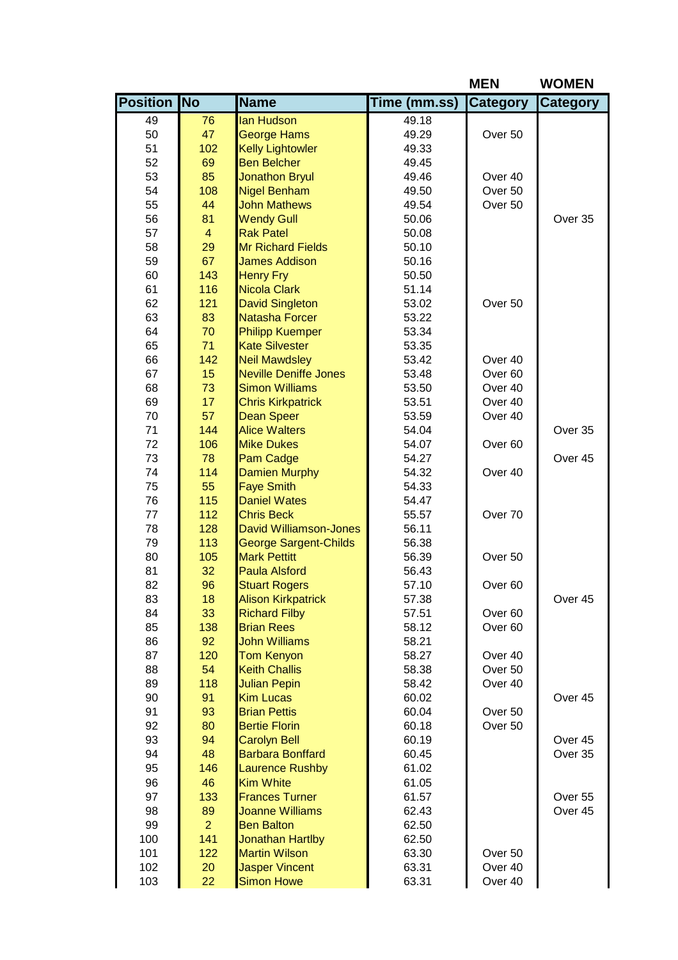|                    |                |                                           |                | <b>MEN</b>         | <b>WOMEN</b>    |
|--------------------|----------------|-------------------------------------------|----------------|--------------------|-----------------|
| <b>Position No</b> |                | <b>Name</b>                               | Time (mm.ss)   | <b>Category</b>    | <b>Category</b> |
| 49                 | 76             | lan Hudson                                | 49.18          |                    |                 |
| 50                 | 47             | <b>George Hams</b>                        | 49.29          | Over <sub>50</sub> |                 |
| 51                 | 102            | <b>Kelly Lightowler</b>                   | 49.33          |                    |                 |
| 52                 | 69             | <b>Ben Belcher</b>                        | 49.45          |                    |                 |
| 53                 | 85             | <b>Jonathon Bryul</b>                     | 49.46          | Over 40            |                 |
| 54                 | 108            | <b>Nigel Benham</b>                       | 49.50          | Over 50            |                 |
| 55                 | 44             | <b>John Mathews</b>                       | 49.54          | Over 50            |                 |
| 56                 | 81             | <b>Wendy Gull</b>                         | 50.06          |                    | Over 35         |
| 57                 | $\overline{4}$ | <b>Rak Patel</b>                          | 50.08          |                    |                 |
| 58                 | 29             | <b>Mr Richard Fields</b>                  | 50.10          |                    |                 |
| 59                 | 67             | <b>James Addison</b>                      | 50.16          |                    |                 |
| 60                 | 143            | <b>Henry Fry</b>                          | 50.50          |                    |                 |
| 61                 | 116            | <b>Nicola Clark</b>                       | 51.14          |                    |                 |
| 62                 | 121            | <b>David Singleton</b>                    | 53.02          | Over 50            |                 |
| 63                 | 83             | <b>Natasha Forcer</b>                     | 53.22          |                    |                 |
| 64                 | 70             | <b>Philipp Kuemper</b>                    | 53.34          |                    |                 |
| 65                 | 71             | <b>Kate Silvester</b>                     | 53.35          |                    |                 |
| 66                 | 142            | <b>Neil Mawdsley</b>                      | 53.42          | Over 40            |                 |
| 67                 | 15             | <b>Neville Deniffe Jones</b>              | 53.48          | Over <sub>60</sub> |                 |
| 68                 | 73             | <b>Simon Williams</b>                     | 53.50          | Over 40            |                 |
| 69                 | 17             | <b>Chris Kirkpatrick</b>                  | 53.51          | Over 40            |                 |
| 70<br>71           | 57<br>144      | <b>Dean Speer</b>                         | 53.59          | Over 40            |                 |
| 72                 | 106            | <b>Alice Walters</b><br><b>Mike Dukes</b> | 54.04<br>54.07 | Over <sub>60</sub> | Over 35         |
| 73                 | 78             | Pam Cadge                                 | 54.27          |                    | Over 45         |
| 74                 | 114            | <b>Damien Murphy</b>                      | 54.32          | Over 40            |                 |
| 75                 | 55             | <b>Faye Smith</b>                         | 54.33          |                    |                 |
| 76                 | 115            | <b>Daniel Wates</b>                       | 54.47          |                    |                 |
| 77                 | 112            | <b>Chris Beck</b>                         | 55.57          | Over <sub>70</sub> |                 |
| 78                 | 128            | <b>David Williamson-Jones</b>             | 56.11          |                    |                 |
| 79                 | 113            | <b>George Sargent-Childs</b>              | 56.38          |                    |                 |
| 80                 | 105            | <b>Mark Pettitt</b>                       | 56.39          | Over 50            |                 |
| 81                 | 32             | <b>Paula Alsford</b>                      | 56.43          |                    |                 |
| 82                 | 96             | <b>Stuart Rogers</b>                      | 57.10          | Over <sub>60</sub> |                 |
| 83                 | 18             | <b>Alison Kirkpatrick</b>                 | 57.38          |                    | Over 45         |
| 84                 | 33             | <b>Richard Filby</b>                      | 57.51          | Over <sub>60</sub> |                 |
| 85                 | 138            | <b>Brian Rees</b>                         | 58.12          | Over <sub>60</sub> |                 |
| 86                 | 92             | <b>John Williams</b>                      | 58.21          |                    |                 |
| 87                 | 120            | <b>Tom Kenyon</b>                         | 58.27          | Over 40            |                 |
| 88                 | 54             | <b>Keith Challis</b>                      | 58.38          | Over 50            |                 |
| 89                 | 118            | <b>Julian Pepin</b>                       | 58.42          | Over 40            |                 |
| 90                 | 91             | <b>Kim Lucas</b>                          | 60.02          |                    | Over 45         |
| 91                 | 93             | <b>Brian Pettis</b>                       | 60.04          | Over 50            |                 |
| 92                 | 80             | <b>Bertie Florin</b>                      | 60.18          | Over 50            |                 |
| 93                 | 94             | <b>Carolyn Bell</b>                       | 60.19          |                    | Over 45         |
| 94                 | 48             | <b>Barbara Bonffard</b>                   | 60.45          |                    | Over 35         |
| 95                 | 146            | <b>Laurence Rushby</b>                    | 61.02          |                    |                 |
| 96                 | 46             | <b>Kim White</b>                          | 61.05          |                    |                 |
| 97                 | 133            | <b>Frances Turner</b>                     | 61.57          |                    | Over 55         |
| 98                 | 89             | <b>Joanne Williams</b>                    | 62.43          |                    | Over 45         |
| 99                 | $\overline{2}$ | <b>Ben Balton</b>                         | 62.50          |                    |                 |
| 100                | 141            | <b>Jonathan Hartlby</b>                   | 62.50          |                    |                 |
| 101                | 122            | <b>Martin Wilson</b>                      | 63.30          | Over 50            |                 |
| 102                | 20             | <b>Jasper Vincent</b>                     | 63.31          | Over 40            |                 |
| 103                | 22             | <b>Simon Howe</b>                         | 63.31          | Over 40            |                 |